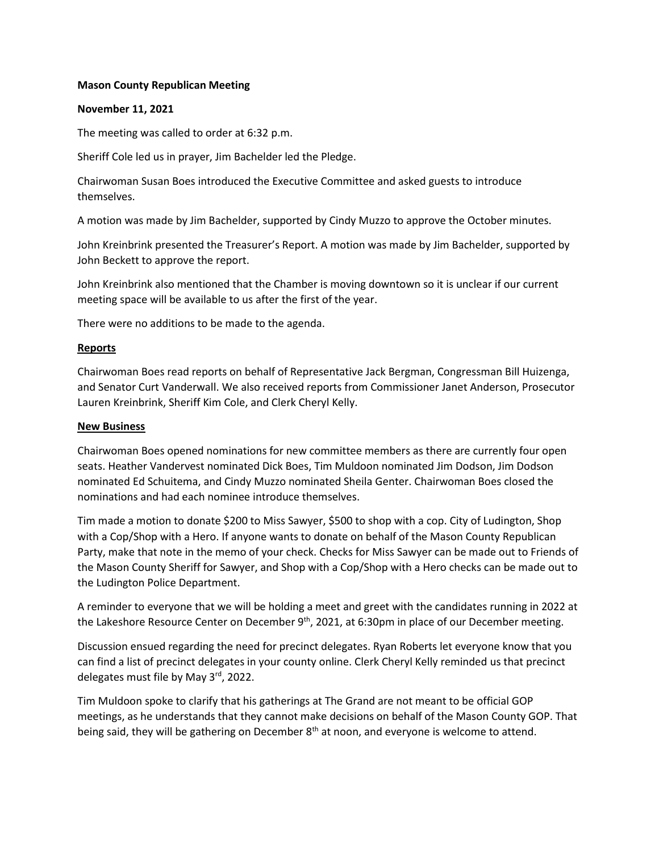## **Mason County Republican Meeting**

# **November 11, 2021**

The meeting was called to order at 6:32 p.m.

Sheriff Cole led us in prayer, Jim Bachelder led the Pledge.

Chairwoman Susan Boes introduced the Executive Committee and asked guests to introduce themselves.

A motion was made by Jim Bachelder, supported by Cindy Muzzo to approve the October minutes.

John Kreinbrink presented the Treasurer's Report. A motion was made by Jim Bachelder, supported by John Beckett to approve the report.

John Kreinbrink also mentioned that the Chamber is moving downtown so it is unclear if our current meeting space will be available to us after the first of the year.

There were no additions to be made to the agenda.

# **Reports**

Chairwoman Boes read reports on behalf of Representative Jack Bergman, Congressman Bill Huizenga, and Senator Curt Vanderwall. We also received reports from Commissioner Janet Anderson, Prosecutor Lauren Kreinbrink, Sheriff Kim Cole, and Clerk Cheryl Kelly.

## **New Business**

Chairwoman Boes opened nominations for new committee members as there are currently four open seats. Heather Vandervest nominated Dick Boes, Tim Muldoon nominated Jim Dodson, Jim Dodson nominated Ed Schuitema, and Cindy Muzzo nominated Sheila Genter. Chairwoman Boes closed the nominations and had each nominee introduce themselves.

Tim made a motion to donate \$200 to Miss Sawyer, \$500 to shop with a cop. City of Ludington, Shop with a Cop/Shop with a Hero. If anyone wants to donate on behalf of the Mason County Republican Party, make that note in the memo of your check. Checks for Miss Sawyer can be made out to Friends of the Mason County Sheriff for Sawyer, and Shop with a Cop/Shop with a Hero checks can be made out to the Ludington Police Department.

A reminder to everyone that we will be holding a meet and greet with the candidates running in 2022 at the Lakeshore Resource Center on December 9<sup>th</sup>, 2021, at 6:30pm in place of our December meeting.

Discussion ensued regarding the need for precinct delegates. Ryan Roberts let everyone know that you can find a list of precinct delegates in your county online. Clerk Cheryl Kelly reminded us that precinct delegates must file by May 3<sup>rd</sup>, 2022.

Tim Muldoon spoke to clarify that his gatherings at The Grand are not meant to be official GOP meetings, as he understands that they cannot make decisions on behalf of the Mason County GOP. That being said, they will be gathering on December 8<sup>th</sup> at noon, and everyone is welcome to attend.